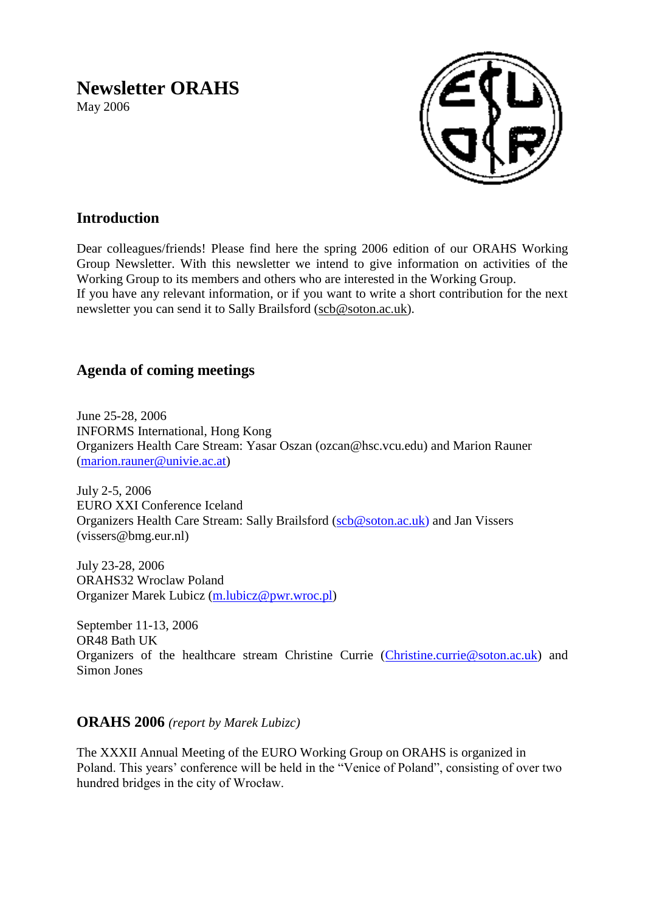# **Newsletter ORAHS**

May 2006



# **Introduction**

Dear colleagues/friends! Please find here the spring 2006 edition of our ORAHS Working Group Newsletter. With this newsletter we intend to give information on activities of the Working Group to its members and others who are interested in the Working Group. If you have any relevant information, or if you want to write a short contribution for the next newsletter you can send it to Sally Brailsford [\(scb@soton.ac.uk\)](mailto:scb@soton.ac.uk).

# **Agenda of coming meetings**

June 25-28, 2006 INFORMS International, Hong Kong Organizers Health Care Stream: Yasar Oszan (ozcan@hsc.vcu.edu) and Marion Rauner [\(marion.rauner@univie.ac.at\)](mailto:marion.rauner@univie.ac.at)

July 2-5, 2006 EURO XXI Conference Iceland Organizers Health Care Stream: Sally Brailsford [\(scb@soton.ac.uk\)](mailto:scb@soton.ac.uk) and Jan Vissers (vissers@bmg.eur.nl)

July 23-28, 2006 ORAHS32 Wroclaw Poland Organizer Marek Lubicz [\(m.lubicz@pwr.wroc.pl\)](mailto:m.lubicz@pwr.wroc.pl)

September 11-13, 2006 OR48 Bath UK Organizers of the healthcare stream Christine Currie [\(Christine.currie@soton.ac.uk\)](mailto:Christine.currie@soton.ac.uk) and Simon Jones

## **ORAHS 2006** *(report by Marek Lubizc)*

The XXXII Annual Meeting of the EURO Working Group on ORAHS is organized in Poland. This years' conference will be held in the "Venice of Poland", consisting of over two hundred bridges in the city of Wrocław.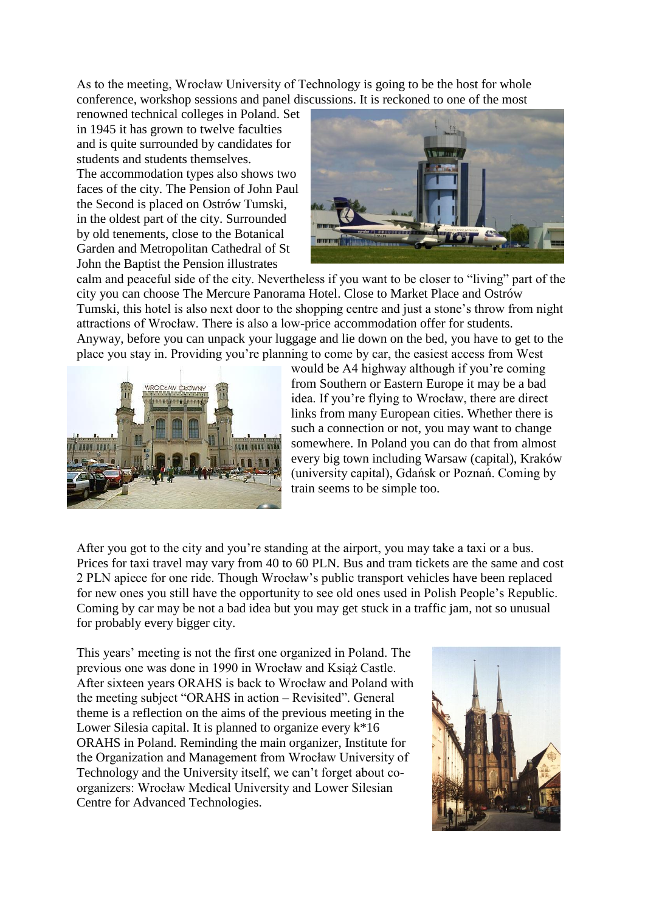As to the meeting, Wrocław University of Technology is going to be the host for whole conference, workshop sessions and panel discussions. It is reckoned to one of the most

renowned technical colleges in Poland. Set in 1945 it has grown to twelve faculties and is quite surrounded by candidates for students and students themselves. The accommodation types also shows two faces of the city. The Pension of John Paul the Second is placed on Ostrów Tumski, in the oldest part of the city. Surrounded by old tenements, close to the Botanical Garden and Metropolitan Cathedral of St John the Baptist the Pension illustrates



calm and peaceful side of the city. Nevertheless if you want to be closer to "living" part of the city you can choose The Mercure Panorama Hotel. Close to Market Place and Ostrów Tumski, this hotel is also next door to the shopping centre and just a stone"s throw from night attractions of Wrocław. There is also a low-price accommodation offer for students. Anyway, before you can unpack your luggage and lie down on the bed, you have to get to the place you stay in. Providing you"re planning to come by car, the easiest access from West



would be A4 highway although if you're coming from Southern or Eastern Europe it may be a bad idea. If you"re flying to Wrocław, there are direct links from many European cities. Whether there is such a connection or not, you may want to change somewhere. In Poland you can do that from almost every big town including Warsaw (capital), Kraków (university capital), Gdańsk or Poznań. Coming by train seems to be simple too.

After you got to the city and you"re standing at the airport, you may take a taxi or a bus. Prices for taxi travel may vary from 40 to 60 PLN. Bus and tram tickets are the same and cost 2 PLN apiece for one ride. Though Wrocław"s public transport vehicles have been replaced for new ones you still have the opportunity to see old ones used in Polish People"s Republic. Coming by car may be not a bad idea but you may get stuck in a traffic jam, not so unusual for probably every bigger city.

This years" meeting is not the first one organized in Poland. The previous one was done in 1990 in Wrocław and Książ Castle. After sixteen years ORAHS is back to Wrocław and Poland with the meeting subject "ORAHS in action – Revisited". General theme is a reflection on the aims of the previous meeting in the Lower Silesia capital. It is planned to organize every  $k*16$ ORAHS in Poland. Reminding the main organizer, Institute for the Organization and Management from Wrocław University of Technology and the University itself, we can"t forget about coorganizers: Wrocław Medical University and Lower Silesian Centre for Advanced Technologies.

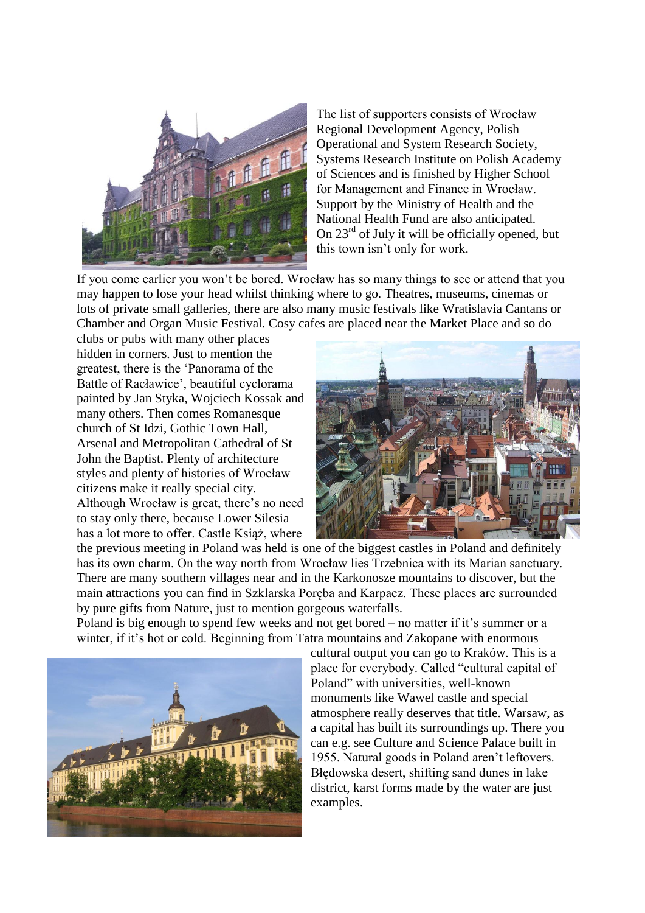

The list of supporters consists of Wrocław Regional Development Agency, Polish Operational and System Research Society, Systems Research Institute on Polish Academy of Sciences and is finished by Higher School for Management and Finance in Wrocław. Support by the Ministry of Health and the National Health Fund are also anticipated. On  $23<sup>rd</sup>$  of July it will be officially opened, but this town isn"t only for work.

If you come earlier you won"t be bored. Wrocław has so many things to see or attend that you may happen to lose your head whilst thinking where to go. Theatres, museums, cinemas or lots of private small galleries, there are also many music festivals like Wratislavia Cantans or Chamber and Organ Music Festival. Cosy cafes are placed near the Market Place and so do

clubs or pubs with many other places hidden in corners. Just to mention the greatest, there is the "Panorama of the Battle of Racławice", beautiful cyclorama painted by Jan Styka, Wojciech Kossak and many others. Then comes Romanesque church of St Idzi, Gothic Town Hall, Arsenal and Metropolitan Cathedral of St John the Baptist. Plenty of architecture styles and plenty of histories of Wrocław citizens make it really special city. Although Wrocław is great, there"s no need to stay only there, because Lower Silesia has a lot more to offer. Castle Książ, where



the previous meeting in Poland was held is one of the biggest castles in Poland and definitely has its own charm. On the way north from Wrocław lies Trzebnica with its Marian sanctuary. There are many southern villages near and in the Karkonosze mountains to discover, but the main attractions you can find in Szklarska Poręba and Karpacz. These places are surrounded by pure gifts from Nature, just to mention gorgeous waterfalls.

Poland is big enough to spend few weeks and not get bored – no matter if it's summer or a winter, if it's hot or cold. Beginning from Tatra mountains and Zakopane with enormous



cultural output you can go to Kraków. This is a place for everybody. Called "cultural capital of Poland" with universities, well-known monuments like Wawel castle and special atmosphere really deserves that title. Warsaw, as a capital has built its surroundings up. There you can e.g. see Culture and Science Palace built in 1955. Natural goods in Poland aren"t leftovers. Błędowska desert, shifting sand dunes in lake district, karst forms made by the water are just examples.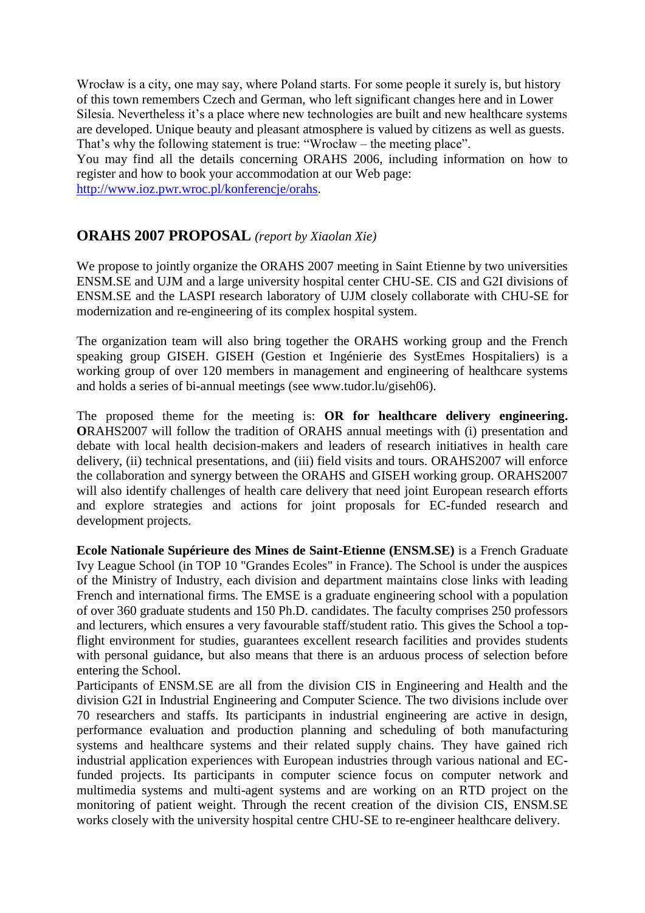Wrocław is a city, one may say, where Poland starts. For some people it surely is, but history of this town remembers Czech and German, who left significant changes here and in Lower Silesia. Nevertheless it's a place where new technologies are built and new healthcare systems are developed. Unique beauty and pleasant atmosphere is valued by citizens as well as guests. That's why the following statement is true: "Wrocław – the meeting place".

You may find all the details concerning ORAHS 2006, including information on how to register and how to book your accommodation at our Web page:

[http://www.ioz.pwr.wroc.pl/konferencje/orahs.](http://www.ioz.pwr.wroc.pl/konferencje/orahs)

# **ORAHS 2007 PROPOSAL** *(report by Xiaolan Xie)*

We propose to jointly organize the ORAHS 2007 meeting in Saint Etienne by two universities ENSM.SE and UJM and a large university hospital center CHU-SE. CIS and G2I divisions of ENSM.SE and the LASPI research laboratory of UJM closely collaborate with CHU-SE for modernization and re-engineering of its complex hospital system.

The organization team will also bring together the ORAHS working group and the French speaking group GISEH. GISEH (Gestion et Ingénierie des SystEmes Hospitaliers) is a working group of over 120 members in management and engineering of healthcare systems and holds a series of bi-annual meetings (see www.tudor.lu/giseh06).

The proposed theme for the meeting is: **OR for healthcare delivery engineering. O**RAHS2007 will follow the tradition of ORAHS annual meetings with (i) presentation and debate with local health decision-makers and leaders of research initiatives in health care delivery, (ii) technical presentations, and (iii) field visits and tours. ORAHS2007 will enforce the collaboration and synergy between the ORAHS and GISEH working group. ORAHS2007 will also identify challenges of health care delivery that need joint European research efforts and explore strategies and actions for joint proposals for EC-funded research and development projects.

**Ecole Nationale Supérieure des Mines de Saint-Etienne (ENSM.SE)** is a French Graduate Ivy League School (in TOP 10 "Grandes Ecoles" in France). The School is under the auspices of the Ministry of Industry, each division and department maintains close links with leading French and international firms. The EMSE is a graduate engineering school with a population of over 360 graduate students and 150 Ph.D. candidates. The faculty comprises 250 professors and lecturers, which ensures a very favourable staff/student ratio. This gives the School a topflight environment for studies, guarantees excellent research facilities and provides students with personal guidance, but also means that there is an arduous process of selection before entering the School.

Participants of ENSM.SE are all from the division CIS in Engineering and Health and the division G2I in Industrial Engineering and Computer Science. The two divisions include over 70 researchers and staffs. Its participants in industrial engineering are active in design, performance evaluation and production planning and scheduling of both manufacturing systems and healthcare systems and their related supply chains. They have gained rich industrial application experiences with European industries through various national and ECfunded projects. Its participants in computer science focus on computer network and multimedia systems and multi-agent systems and are working on an RTD project on the monitoring of patient weight. Through the recent creation of the division CIS, ENSM.SE works closely with the university hospital centre CHU-SE to re-engineer healthcare delivery.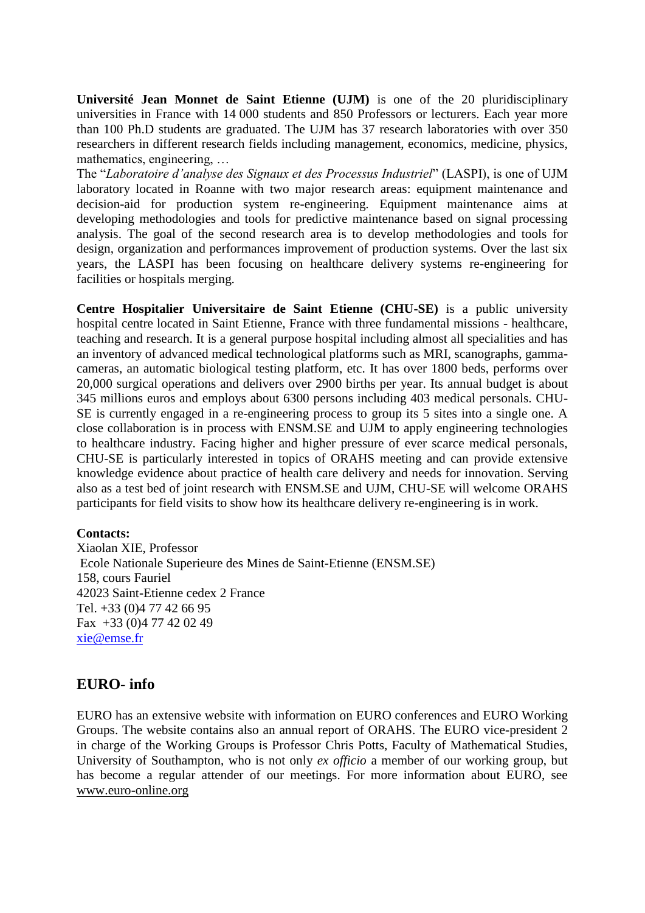**Université Jean Monnet de Saint Etienne (UJM)** is one of the 20 pluridisciplinary universities in France with 14 000 students and 850 Professors or lecturers. Each year more than 100 Ph.D students are graduated. The UJM has 37 research laboratories with over 350 researchers in different research fields including management, economics, medicine, physics, mathematics, engineering, …

The "*Laboratoire d'analyse des Signaux et des Processus Industriel*" (LASPI), is one of UJM laboratory located in Roanne with two major research areas: equipment maintenance and decision-aid for production system re-engineering. Equipment maintenance aims at developing methodologies and tools for predictive maintenance based on signal processing analysis. The goal of the second research area is to develop methodologies and tools for design, organization and performances improvement of production systems. Over the last six years, the LASPI has been focusing on healthcare delivery systems re-engineering for facilities or hospitals merging.

**Centre Hospitalier Universitaire de Saint Etienne (CHU-SE)** is a public university hospital centre located in Saint Etienne, France with three fundamental missions - healthcare, teaching and research. It is a general purpose hospital including almost all specialities and has an inventory of advanced medical technological platforms such as MRI, scanographs, gammacameras, an automatic biological testing platform, etc. It has over 1800 beds, performs over 20,000 surgical operations and delivers over 2900 births per year. Its annual budget is about 345 millions euros and employs about 6300 persons including 403 medical personals. CHU-SE is currently engaged in a re-engineering process to group its 5 sites into a single one. A close collaboration is in process with ENSM.SE and UJM to apply engineering technologies to healthcare industry. Facing higher and higher pressure of ever scarce medical personals, CHU-SE is particularly interested in topics of ORAHS meeting and can provide extensive knowledge evidence about practice of health care delivery and needs for innovation. Serving also as a test bed of joint research with ENSM.SE and UJM, CHU-SE will welcome ORAHS participants for field visits to show how its healthcare delivery re-engineering is in work.

#### **Contacts:**

Xiaolan XIE, Professor Ecole Nationale Superieure des Mines de Saint-Etienne (ENSM.SE) 158, cours Fauriel 42023 Saint-Etienne cedex 2 France Tel. +33 (0)4 77 42 66 95 Fax +33 (0)4 77 42 02 49 [xie@emse.fr](mailto:xie@emse.fr)

## **EURO- info**

EURO has an extensive website with information on EURO conferences and EURO Working Groups. The website contains also an annual report of ORAHS. The EURO vice-president 2 in charge of the Working Groups is Professor Chris Potts, Faculty of Mathematical Studies, University of Southampton, who is not only *ex officio* a member of our working group, but has become a regular attender of our meetings. For more information about EURO, see [www.euro-online.org](http://www.euro-online.org/)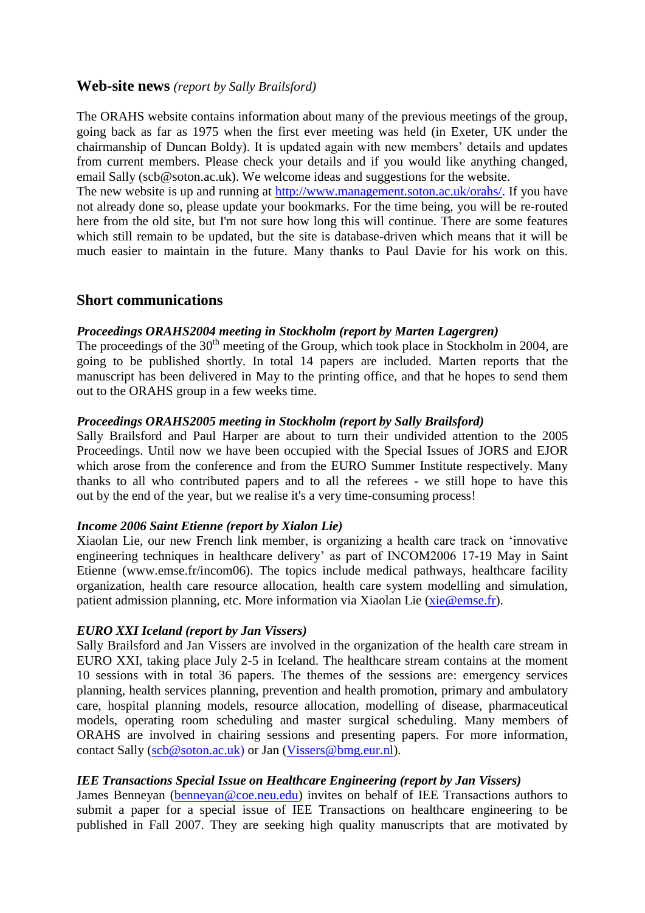## **Web-site news** *(report by Sally Brailsford)*

The ORAHS website contains information about many of the previous meetings of the group, going back as far as 1975 when the first ever meeting was held (in Exeter, UK under the chairmanship of Duncan Boldy). It is updated again with new members" details and updates from current members. Please check your details and if you would like anything changed, email Sally (scb@soton.ac.uk). We welcome ideas and suggestions for the website.

The new website is up and running at [http://www.management.soton.ac.uk/orahs/.](http://www.management.soton.ac.uk/orahs/) If you have not already done so, please update your bookmarks. For the time being, you will be re-routed here from the old site, but I'm not sure how long this will continue. There are some features which still remain to be updated, but the site is database-driven which means that it will be much easier to maintain in the future. Many thanks to Paul Davie for his work on this.

## **Short communications**

## *Proceedings ORAHS2004 meeting in Stockholm (report by Marten Lagergren)*

The proceedings of the  $30<sup>th</sup>$  meeting of the Group, which took place in Stockholm in 2004, are going to be published shortly. In total 14 papers are included. Marten reports that the manuscript has been delivered in May to the printing office, and that he hopes to send them out to the ORAHS group in a few weeks time.

## *Proceedings ORAHS2005 meeting in Stockholm (report by Sally Brailsford)*

Sally Brailsford and Paul Harper are about to turn their undivided attention to the 2005 Proceedings. Until now we have been occupied with the Special Issues of JORS and EJOR which arose from the conference and from the EURO Summer Institute respectively. Many thanks to all who contributed papers and to all the referees - we still hope to have this out by the end of the year, but we realise it's a very time-consuming process!

#### *Income 2006 Saint Etienne (report by Xialon Lie)*

Xiaolan Lie, our new French link member, is organizing a health care track on "innovative engineering techniques in healthcare delivery" as part of INCOM2006 17-19 May in Saint Etienne (www.emse.fr/incom06). The topics include medical pathways, healthcare facility organization, health care resource allocation, health care system modelling and simulation, patient admission planning, etc. More information via Xiaolan Lie [\(xie@emse.fr\)](mailto:xie@emse.fr).

#### *EURO XXI Iceland (report by Jan Vissers)*

Sally Brailsford and Jan Vissers are involved in the organization of the health care stream in EURO XXI, taking place July 2-5 in Iceland. The healthcare stream contains at the moment 10 sessions with in total 36 papers. The themes of the sessions are: emergency services planning, health services planning, prevention and health promotion, primary and ambulatory care, hospital planning models, resource allocation, modelling of disease, pharmaceutical models, operating room scheduling and master surgical scheduling. Many members of ORAHS are involved in chairing sessions and presenting papers. For more information, contact Sally [\(scb@soton.ac.uk\)](mailto:scb@soton.ac.uk) or Jan [\(Vissers@bmg.eur.nl\)](mailto:Vissers@bmg.eur.nl).

#### *IEE Transactions Special Issue on Healthcare Engineering (report by Jan Vissers)*

James Benneyan [\(benneyan@coe.neu.edu\)](mailto:benneyan@coe.neu.edu) invites on behalf of IEE Transactions authors to submit a paper for a special issue of IEE Transactions on healthcare engineering to be published in Fall 2007. They are seeking high quality manuscripts that are motivated by